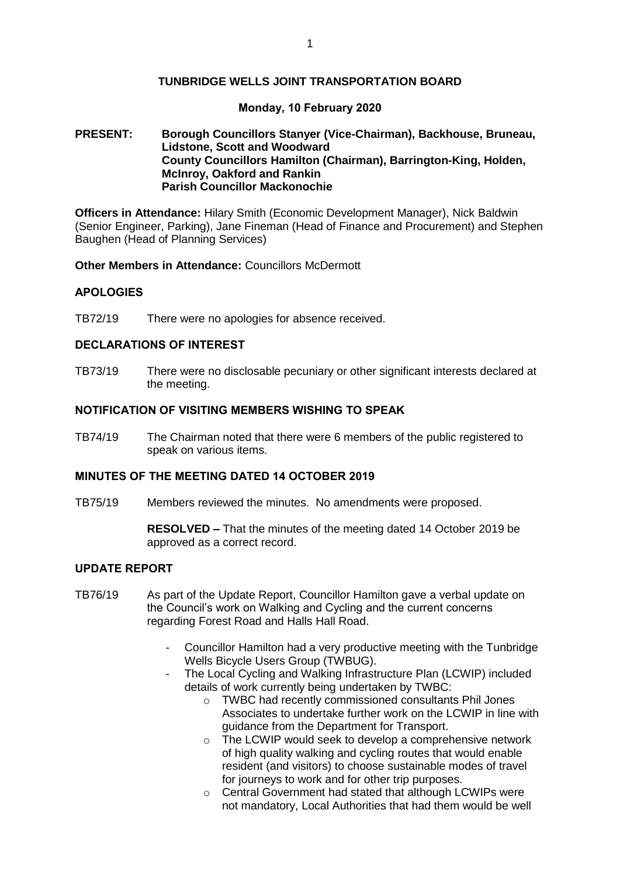## **TUNBRIDGE WELLS JOINT TRANSPORTATION BOARD**

### **Monday, 10 February 2020**

### **PRESENT: Borough Councillors Stanyer (Vice-Chairman), Backhouse, Bruneau, Lidstone, Scott and Woodward County Councillors Hamilton (Chairman), Barrington-King, Holden, McInroy, Oakford and Rankin Parish Councillor Mackonochie**

**Officers in Attendance:** Hilary Smith (Economic Development Manager), Nick Baldwin (Senior Engineer, Parking), Jane Fineman (Head of Finance and Procurement) and Stephen Baughen (Head of Planning Services)

**Other Members in Attendance:** Councillors McDermott

#### **APOLOGIES**

TB72/19 There were no apologies for absence received.

## **DECLARATIONS OF INTEREST**

TB73/19 There were no disclosable pecuniary or other significant interests declared at the meeting.

## **NOTIFICATION OF VISITING MEMBERS WISHING TO SPEAK**

TB74/19 The Chairman noted that there were 6 members of the public registered to speak on various items.

## **MINUTES OF THE MEETING DATED 14 OCTOBER 2019**

TB75/19 Members reviewed the minutes. No amendments were proposed.

**RESOLVED –** That the minutes of the meeting dated 14 October 2019 be approved as a correct record.

## **UPDATE REPORT**

- TB76/19 As part of the Update Report, Councillor Hamilton gave a verbal update on the Council's work on Walking and Cycling and the current concerns regarding Forest Road and Halls Hall Road.
	- Councillor Hamilton had a very productive meeting with the Tunbridge Wells Bicycle Users Group (TWBUG).
	- The Local Cycling and Walking Infrastructure Plan (LCWIP) included details of work currently being undertaken by TWBC:
		- o TWBC had recently commissioned consultants Phil Jones Associates to undertake further work on the LCWIP in line with guidance from the Department for Transport.
		- o The LCWIP would seek to develop a comprehensive network of high quality walking and cycling routes that would enable resident (and visitors) to choose sustainable modes of travel for journeys to work and for other trip purposes.
		- o Central Government had stated that although LCWIPs were not mandatory, Local Authorities that had them would be well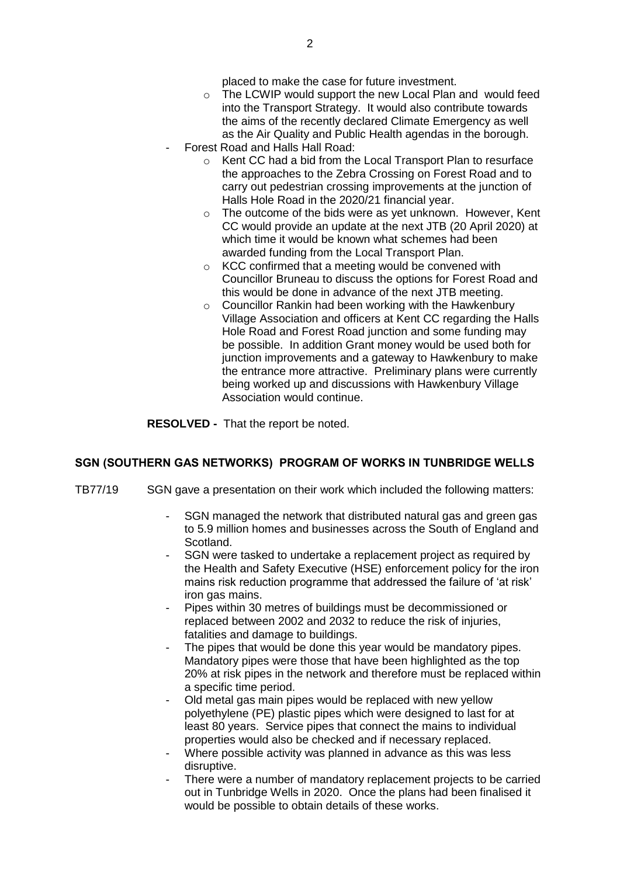placed to make the case for future investment.

- o The LCWIP would support the new Local Plan and would feed into the Transport Strategy. It would also contribute towards the aims of the recently declared Climate Emergency as well as the Air Quality and Public Health agendas in the borough.
- Forest Road and Halls Hall Road:
	- o Kent CC had a bid from the Local Transport Plan to resurface the approaches to the Zebra Crossing on Forest Road and to carry out pedestrian crossing improvements at the junction of Halls Hole Road in the 2020/21 financial year.
	- o The outcome of the bids were as yet unknown. However, Kent CC would provide an update at the next JTB (20 April 2020) at which time it would be known what schemes had been awarded funding from the Local Transport Plan.
	- o KCC confirmed that a meeting would be convened with Councillor Bruneau to discuss the options for Forest Road and this would be done in advance of the next JTB meeting.
	- o Councillor Rankin had been working with the Hawkenbury Village Association and officers at Kent CC regarding the Halls Hole Road and Forest Road junction and some funding may be possible. In addition Grant money would be used both for junction improvements and a gateway to Hawkenbury to make the entrance more attractive. Preliminary plans were currently being worked up and discussions with Hawkenbury Village Association would continue.

**RESOLVED -** That the report be noted.

## **SGN (SOUTHERN GAS NETWORKS) PROGRAM OF WORKS IN TUNBRIDGE WELLS**

- TB77/19 SGN gave a presentation on their work which included the following matters:
	- SGN managed the network that distributed natural gas and green gas to 5.9 million homes and businesses across the South of England and Scotland.
	- SGN were tasked to undertake a replacement project as required by the Health and Safety Executive (HSE) enforcement policy for the iron mains risk reduction programme that addressed the failure of 'at risk' iron gas mains.
	- Pipes within 30 metres of buildings must be decommissioned or replaced between 2002 and 2032 to reduce the risk of injuries, fatalities and damage to buildings.
	- The pipes that would be done this year would be mandatory pipes. Mandatory pipes were those that have been highlighted as the top 20% at risk pipes in the network and therefore must be replaced within a specific time period.
	- Old metal gas main pipes would be replaced with new yellow polyethylene (PE) plastic pipes which were designed to last for at least 80 years. Service pipes that connect the mains to individual properties would also be checked and if necessary replaced.
	- Where possible activity was planned in advance as this was less disruptive.
	- There were a number of mandatory replacement projects to be carried out in Tunbridge Wells in 2020. Once the plans had been finalised it would be possible to obtain details of these works.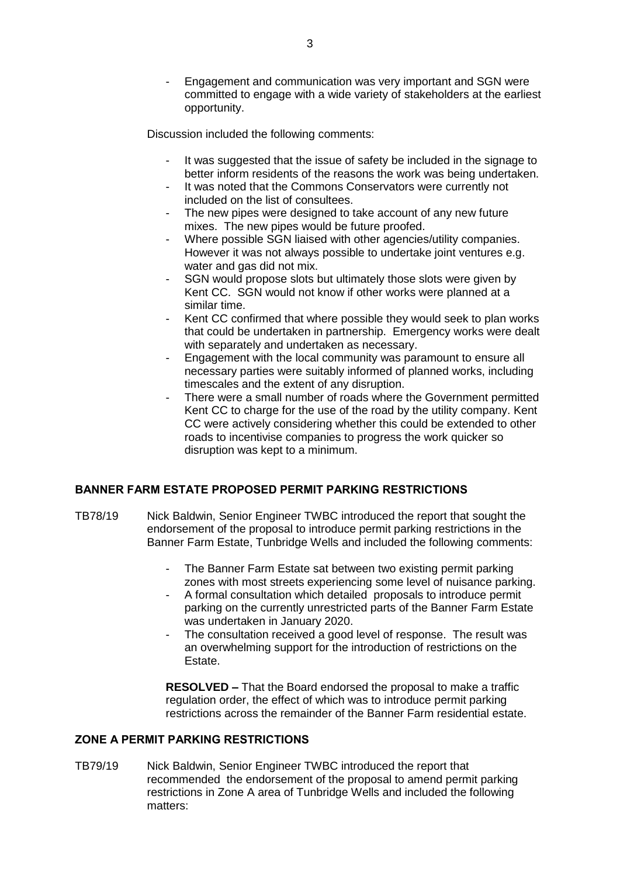Engagement and communication was very important and SGN were committed to engage with a wide variety of stakeholders at the earliest opportunity.

Discussion included the following comments:

- It was suggested that the issue of safety be included in the signage to better inform residents of the reasons the work was being undertaken.
- It was noted that the Commons Conservators were currently not included on the list of consultees.
- The new pipes were designed to take account of any new future mixes. The new pipes would be future proofed.
- Where possible SGN liaised with other agencies/utility companies. However it was not always possible to undertake joint ventures e.g. water and gas did not mix.
- SGN would propose slots but ultimately those slots were given by Kent CC. SGN would not know if other works were planned at a similar time.
- Kent CC confirmed that where possible they would seek to plan works that could be undertaken in partnership. Emergency works were dealt with separately and undertaken as necessary.
- Engagement with the local community was paramount to ensure all necessary parties were suitably informed of planned works, including timescales and the extent of any disruption.
- There were a small number of roads where the Government permitted Kent CC to charge for the use of the road by the utility company. Kent CC were actively considering whether this could be extended to other roads to incentivise companies to progress the work quicker so disruption was kept to a minimum.

## **BANNER FARM ESTATE PROPOSED PERMIT PARKING RESTRICTIONS**

- TB78/19 Nick Baldwin, Senior Engineer TWBC introduced the report that sought the endorsement of the proposal to introduce permit parking restrictions in the Banner Farm Estate, Tunbridge Wells and included the following comments:
	- The Banner Farm Estate sat between two existing permit parking zones with most streets experiencing some level of nuisance parking.
	- A formal consultation which detailed proposals to introduce permit parking on the currently unrestricted parts of the Banner Farm Estate was undertaken in January 2020.
	- The consultation received a good level of response. The result was an overwhelming support for the introduction of restrictions on the Estate.

**RESOLVED –** That the Board endorsed the proposal to make a traffic regulation order, the effect of which was to introduce permit parking restrictions across the remainder of the Banner Farm residential estate.

# **ZONE A PERMIT PARKING RESTRICTIONS**

TB79/19 Nick Baldwin, Senior Engineer TWBC introduced the report that recommended the endorsement of the proposal to amend permit parking restrictions in Zone A area of Tunbridge Wells and included the following matters: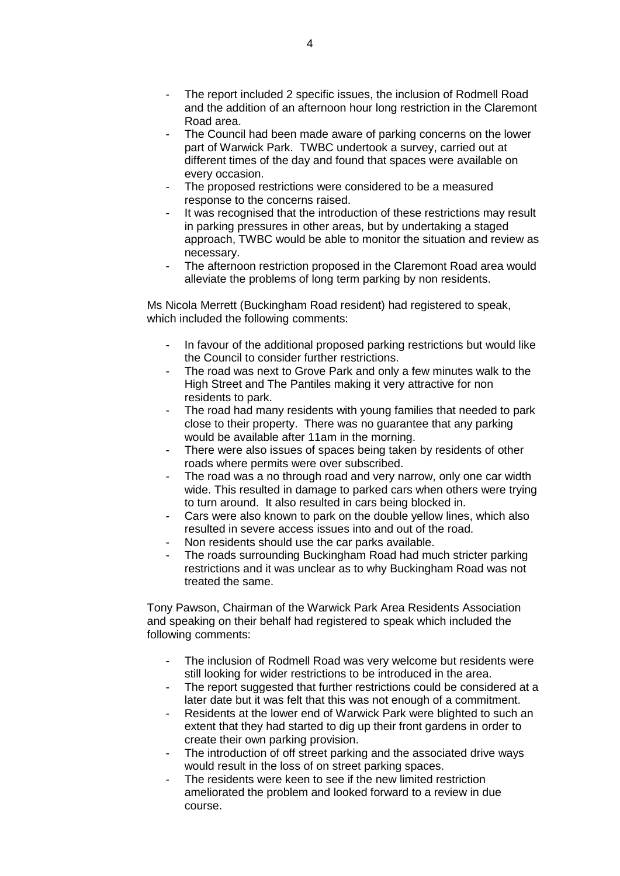- The report included 2 specific issues, the inclusion of Rodmell Road and the addition of an afternoon hour long restriction in the Claremont Road area.
- The Council had been made aware of parking concerns on the lower part of Warwick Park. TWBC undertook a survey, carried out at different times of the day and found that spaces were available on every occasion.
- The proposed restrictions were considered to be a measured response to the concerns raised.
- It was recognised that the introduction of these restrictions may result in parking pressures in other areas, but by undertaking a staged approach, TWBC would be able to monitor the situation and review as necessary.
- The afternoon restriction proposed in the Claremont Road area would alleviate the problems of long term parking by non residents.

Ms Nicola Merrett (Buckingham Road resident) had registered to speak, which included the following comments:

- In favour of the additional proposed parking restrictions but would like the Council to consider further restrictions.
- The road was next to Grove Park and only a few minutes walk to the High Street and The Pantiles making it very attractive for non residents to park.
- The road had many residents with young families that needed to park close to their property. There was no guarantee that any parking would be available after 11am in the morning.
- There were also issues of spaces being taken by residents of other roads where permits were over subscribed.
- The road was a no through road and very narrow, only one car width wide. This resulted in damage to parked cars when others were trying to turn around. It also resulted in cars being blocked in.
- Cars were also known to park on the double yellow lines, which also resulted in severe access issues into and out of the road.
- Non residents should use the car parks available.
- The roads surrounding Buckingham Road had much stricter parking restrictions and it was unclear as to why Buckingham Road was not treated the same.

Tony Pawson, Chairman of the Warwick Park Area Residents Association and speaking on their behalf had registered to speak which included the following comments:

- The inclusion of Rodmell Road was very welcome but residents were still looking for wider restrictions to be introduced in the area.
- The report suggested that further restrictions could be considered at a later date but it was felt that this was not enough of a commitment.
- Residents at the lower end of Warwick Park were blighted to such an extent that they had started to dig up their front gardens in order to create their own parking provision.
- The introduction of off street parking and the associated drive ways would result in the loss of on street parking spaces.
- The residents were keen to see if the new limited restriction ameliorated the problem and looked forward to a review in due course.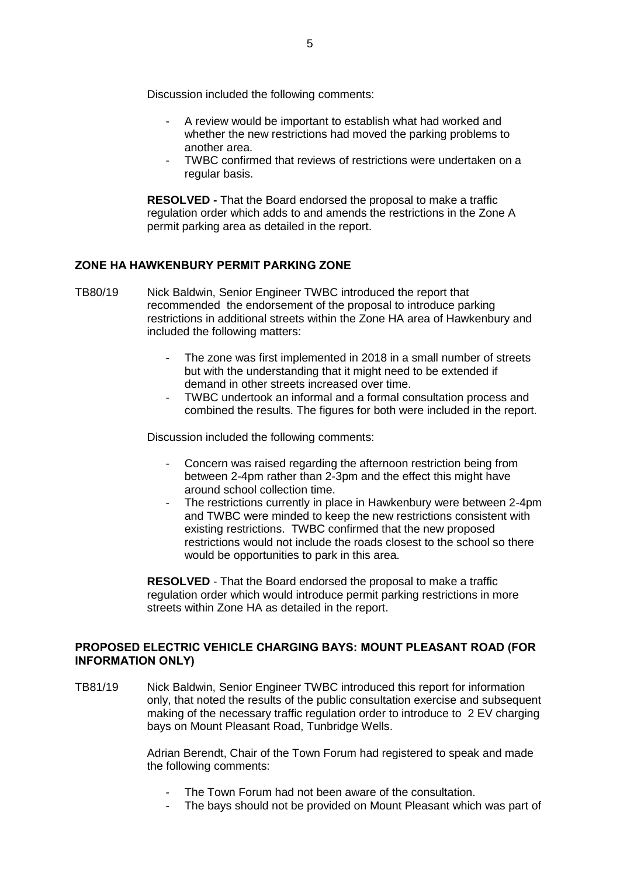Discussion included the following comments:

- A review would be important to establish what had worked and whether the new restrictions had moved the parking problems to another area.
- TWBC confirmed that reviews of restrictions were undertaken on a regular basis.

**RESOLVED -** That the Board endorsed the proposal to make a traffic regulation order which adds to and amends the restrictions in the Zone A permit parking area as detailed in the report.

## **ZONE HA HAWKENBURY PERMIT PARKING ZONE**

- TB80/19 Nick Baldwin, Senior Engineer TWBC introduced the report that recommended the endorsement of the proposal to introduce parking restrictions in additional streets within the Zone HA area of Hawkenbury and included the following matters:
	- The zone was first implemented in 2018 in a small number of streets but with the understanding that it might need to be extended if demand in other streets increased over time.
	- TWBC undertook an informal and a formal consultation process and combined the results. The figures for both were included in the report.

Discussion included the following comments:

- Concern was raised regarding the afternoon restriction being from between 2-4pm rather than 2-3pm and the effect this might have around school collection time.
- The restrictions currently in place in Hawkenbury were between 2-4pm and TWBC were minded to keep the new restrictions consistent with existing restrictions. TWBC confirmed that the new proposed restrictions would not include the roads closest to the school so there would be opportunities to park in this area.

**RESOLVED** - That the Board endorsed the proposal to make a traffic regulation order which would introduce permit parking restrictions in more streets within Zone HA as detailed in the report.

## **PROPOSED ELECTRIC VEHICLE CHARGING BAYS: MOUNT PLEASANT ROAD (FOR INFORMATION ONLY)**

TB81/19 Nick Baldwin, Senior Engineer TWBC introduced this report for information only, that noted the results of the public consultation exercise and subsequent making of the necessary traffic regulation order to introduce to 2 EV charging bays on Mount Pleasant Road, Tunbridge Wells.

> Adrian Berendt, Chair of the Town Forum had registered to speak and made the following comments:

- The Town Forum had not been aware of the consultation.
- The bays should not be provided on Mount Pleasant which was part of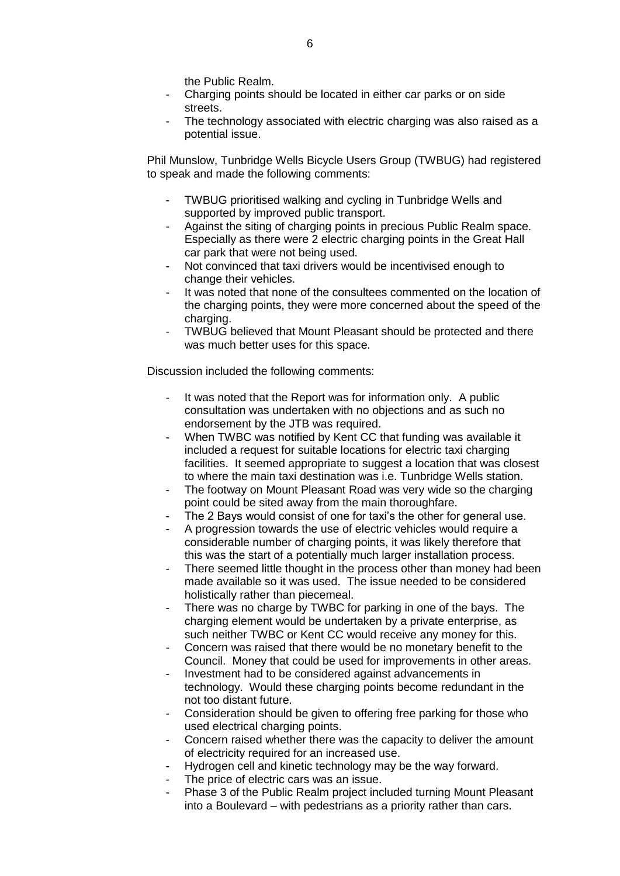the Public Realm.

- Charging points should be located in either car parks or on side streets.
- The technology associated with electric charging was also raised as a potential issue.

Phil Munslow, Tunbridge Wells Bicycle Users Group (TWBUG) had registered to speak and made the following comments:

- TWBUG prioritised walking and cycling in Tunbridge Wells and supported by improved public transport.
- Against the siting of charging points in precious Public Realm space. Especially as there were 2 electric charging points in the Great Hall car park that were not being used.
- Not convinced that taxi drivers would be incentivised enough to change their vehicles.
- It was noted that none of the consultees commented on the location of the charging points, they were more concerned about the speed of the charging.
- TWBUG believed that Mount Pleasant should be protected and there was much better uses for this space.

Discussion included the following comments:

- It was noted that the Report was for information only. A public consultation was undertaken with no objections and as such no endorsement by the JTB was required.
- When TWBC was notified by Kent CC that funding was available it included a request for suitable locations for electric taxi charging facilities. It seemed appropriate to suggest a location that was closest to where the main taxi destination was i.e. Tunbridge Wells station.
- The footway on Mount Pleasant Road was very wide so the charging point could be sited away from the main thoroughfare.
- The 2 Bays would consist of one for taxi's the other for general use.
- A progression towards the use of electric vehicles would require a considerable number of charging points, it was likely therefore that this was the start of a potentially much larger installation process.
- There seemed little thought in the process other than money had been made available so it was used. The issue needed to be considered holistically rather than piecemeal.
- There was no charge by TWBC for parking in one of the bays. The charging element would be undertaken by a private enterprise, as such neither TWBC or Kent CC would receive any money for this.
- Concern was raised that there would be no monetary benefit to the Council. Money that could be used for improvements in other areas.
- Investment had to be considered against advancements in technology. Would these charging points become redundant in the not too distant future.
- Consideration should be given to offering free parking for those who used electrical charging points.
- Concern raised whether there was the capacity to deliver the amount of electricity required for an increased use.
- Hydrogen cell and kinetic technology may be the way forward.
- The price of electric cars was an issue.
- Phase 3 of the Public Realm project included turning Mount Pleasant into a Boulevard – with pedestrians as a priority rather than cars.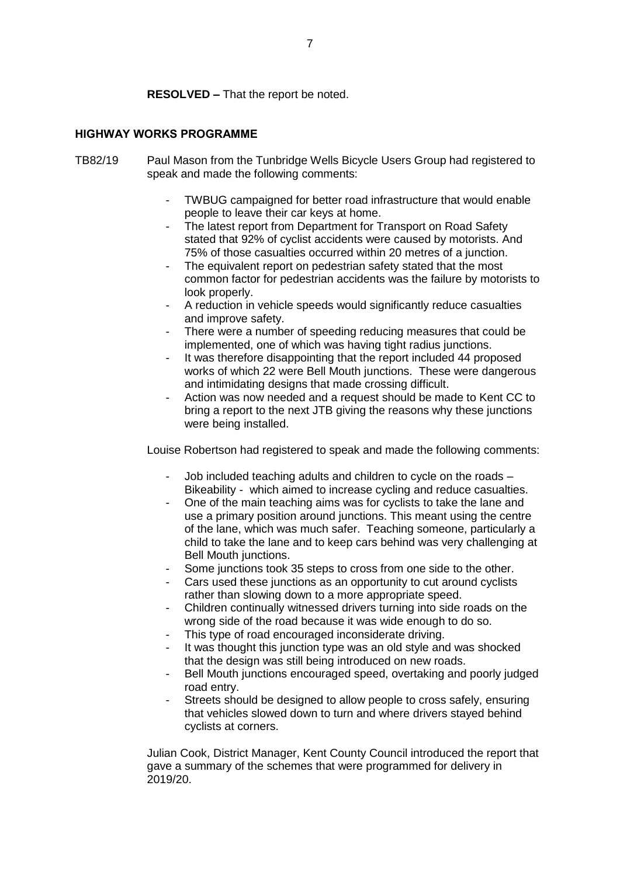**RESOLVED –** That the report be noted.

# **HIGHWAY WORKS PROGRAMME**

- TB82/19 Paul Mason from the Tunbridge Wells Bicycle Users Group had registered to speak and made the following comments:
	- TWBUG campaigned for better road infrastructure that would enable people to leave their car keys at home.
	- The latest report from Department for Transport on Road Safety stated that 92% of cyclist accidents were caused by motorists. And 75% of those casualties occurred within 20 metres of a junction.
	- The equivalent report on pedestrian safety stated that the most common factor for pedestrian accidents was the failure by motorists to look properly.
	- A reduction in vehicle speeds would significantly reduce casualties and improve safety.
	- There were a number of speeding reducing measures that could be implemented, one of which was having tight radius junctions.
	- It was therefore disappointing that the report included 44 proposed works of which 22 were Bell Mouth junctions. These were dangerous and intimidating designs that made crossing difficult.
	- Action was now needed and a request should be made to Kent CC to bring a report to the next JTB giving the reasons why these junctions were being installed.

Louise Robertson had registered to speak and made the following comments:

- Job included teaching adults and children to cycle on the roads Bikeability - which aimed to increase cycling and reduce casualties.
- One of the main teaching aims was for cyclists to take the lane and use a primary position around junctions. This meant using the centre of the lane, which was much safer. Teaching someone, particularly a child to take the lane and to keep cars behind was very challenging at Bell Mouth junctions.
- Some junctions took 35 steps to cross from one side to the other.
- Cars used these junctions as an opportunity to cut around cyclists rather than slowing down to a more appropriate speed.
- Children continually witnessed drivers turning into side roads on the wrong side of the road because it was wide enough to do so.
- This type of road encouraged inconsiderate driving.
- It was thought this junction type was an old style and was shocked that the design was still being introduced on new roads.
- Bell Mouth junctions encouraged speed, overtaking and poorly judged road entry.
- Streets should be designed to allow people to cross safely, ensuring that vehicles slowed down to turn and where drivers stayed behind cyclists at corners.

Julian Cook, District Manager, Kent County Council introduced the report that gave a summary of the schemes that were programmed for delivery in 2019/20.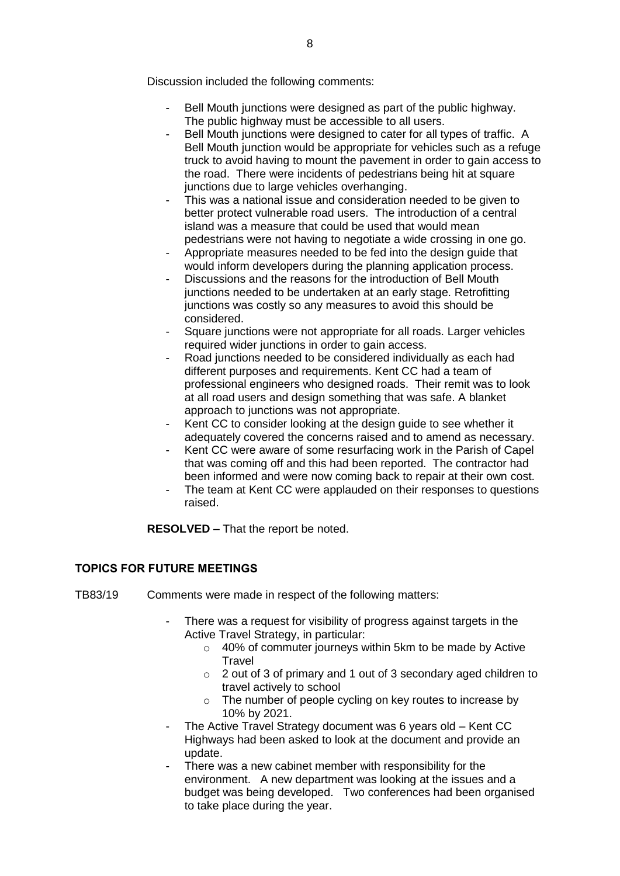Discussion included the following comments:

- Bell Mouth junctions were designed as part of the public highway. The public highway must be accessible to all users.
- Bell Mouth junctions were designed to cater for all types of traffic. A Bell Mouth junction would be appropriate for vehicles such as a refuge truck to avoid having to mount the pavement in order to gain access to the road. There were incidents of pedestrians being hit at square junctions due to large vehicles overhanging.
- This was a national issue and consideration needed to be given to better protect vulnerable road users. The introduction of a central island was a measure that could be used that would mean pedestrians were not having to negotiate a wide crossing in one go.
- Appropriate measures needed to be fed into the design guide that would inform developers during the planning application process.
- Discussions and the reasons for the introduction of Bell Mouth junctions needed to be undertaken at an early stage. Retrofitting junctions was costly so any measures to avoid this should be considered.
- Square junctions were not appropriate for all roads. Larger vehicles required wider junctions in order to gain access.
- Road junctions needed to be considered individually as each had different purposes and requirements. Kent CC had a team of professional engineers who designed roads. Their remit was to look at all road users and design something that was safe. A blanket approach to junctions was not appropriate.
- Kent CC to consider looking at the design guide to see whether it adequately covered the concerns raised and to amend as necessary.
- Kent CC were aware of some resurfacing work in the Parish of Capel that was coming off and this had been reported. The contractor had been informed and were now coming back to repair at their own cost.
- The team at Kent CC were applauded on their responses to questions raised.

**RESOLVED –** That the report be noted.

## **TOPICS FOR FUTURE MEETINGS**

- TB83/19 Comments were made in respect of the following matters:
	- There was a request for visibility of progress against targets in the Active Travel Strategy, in particular:
		- o 40% of commuter journeys within 5km to be made by Active **Travel**
		- o 2 out of 3 of primary and 1 out of 3 secondary aged children to travel actively to school
		- o The number of people cycling on key routes to increase by 10% by 2021.
	- The Active Travel Strategy document was 6 years old Kent CC Highways had been asked to look at the document and provide an update.
	- There was a new cabinet member with responsibility for the environment. A new department was looking at the issues and a budget was being developed. Two conferences had been organised to take place during the year.